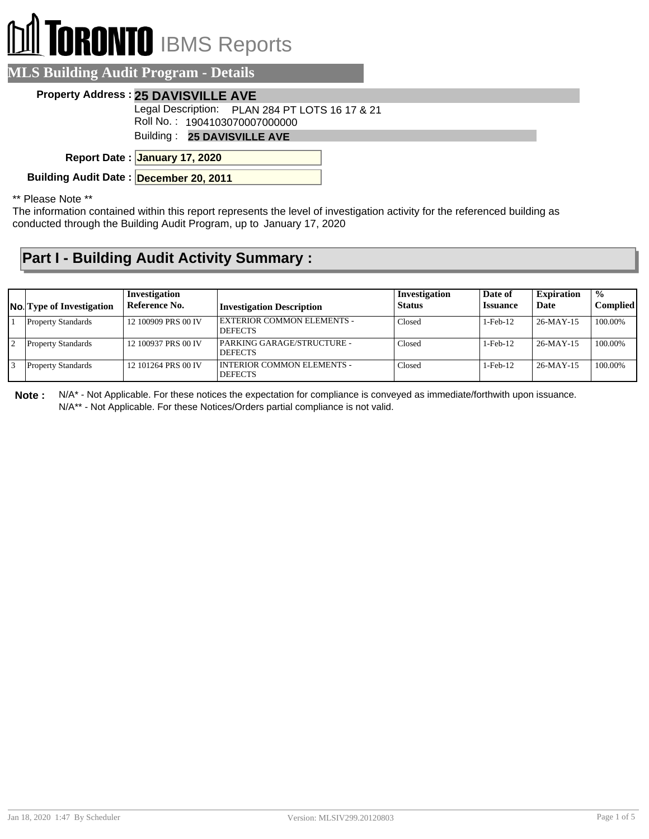# **RONTO** IBMS Reports

#### **MLS Building Audit Program - Details**

#### **Property Address : 25 DAVISVILLE AVE**

Legal Description: PLAN 284 PT LOTS 16 17 & 21

Roll No. : 1904103070007000000

Building : **25 DAVISVILLE AVE**

**January 17, 2020 Report Date :**

**Building Audit Date : December 20, 2011**

\*\* Please Note \*\*

The information contained within this report represents the level of investigation activity for the referenced building as conducted through the Building Audit Program, up to January 17, 2020

### **Part I - Building Audit Activity Summary :**

| <b>No.</b> Type of Investigation | Investigation<br>Reference No. | <b>Investigation Description</b>                    | Investigation<br><b>Status</b> | Date of<br><b>Issuance</b> | <b>Expiration</b><br>Date | $\frac{1}{2}$<br><b>Complied</b> |
|----------------------------------|--------------------------------|-----------------------------------------------------|--------------------------------|----------------------------|---------------------------|----------------------------------|
| <b>Property Standards</b>        | 12 100909 PRS 00 IV            | <b>EXTERIOR COMMON ELEMENTS -</b><br><b>DEFECTS</b> | Closed                         | $1-Feh-12$                 | $26-MAY-15$               | 100.00%                          |
| <b>Property Standards</b>        | 12 100937 PRS 00 IV            | PARKING GARAGE/STRUCTURE -<br><b>DEFECTS</b>        | Closed                         | $1-Feh-12$                 | $26-MAY-15$               | 100.00%                          |
| <b>Property Standards</b>        | 12 101264 PRS 00 IV            | I INTERIOR COMMON ELEMENTS -<br><b>DEFECTS</b>      | Closed                         | $1-Feh-12$                 | $26-MAY-15$               | 100.00%                          |

**Note :** N/A\* - Not Applicable. For these notices the expectation for compliance is conveyed as immediate/forthwith upon issuance. N/A\*\* - Not Applicable. For these Notices/Orders partial compliance is not valid.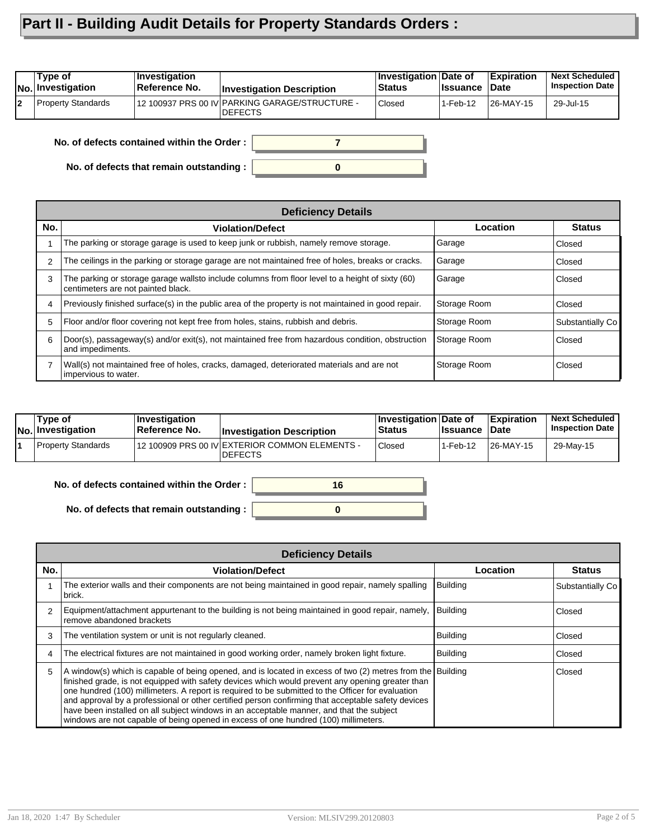## **Part II - Building Audit Details for Property Standards Orders :**

| Type of<br>No. Investigation | <b>Investigation</b><br>Reference No. | <b>Investigation Description</b>                                 | Investigation Date of<br><b>Status</b> | <b>∣Issuance</b> | <b>Expiration</b><br>∣Date | <b>Next Scheduled</b><br><b>Inspection Date</b> |
|------------------------------|---------------------------------------|------------------------------------------------------------------|----------------------------------------|------------------|----------------------------|-------------------------------------------------|
| Property Standards           |                                       | 12 100937 PRS 00 IV PARKING GARAGE/STRUCTURE -<br><b>DEFECTS</b> | Closed                                 | 1-Feb-12         | 26-MAY-15                  | 29-Jul-15                                       |

**0**

**7**

**No. of defects contained within the Order :**

**No. of defects that remain outstanding :**

| <b>Deficiency Details</b> |                                                                                                                                        |              |                  |  |  |  |
|---------------------------|----------------------------------------------------------------------------------------------------------------------------------------|--------------|------------------|--|--|--|
| No.                       | <b>Violation/Defect</b>                                                                                                                | Location     | <b>Status</b>    |  |  |  |
|                           | The parking or storage garage is used to keep junk or rubbish, namely remove storage.                                                  | Garage       | Closed           |  |  |  |
| 2                         | The ceilings in the parking or storage garage are not maintained free of holes, breaks or cracks.                                      | Garage       | Closed           |  |  |  |
| 3                         | The parking or storage garage wallsto include columns from floor level to a height of sixty (60)<br>centimeters are not painted black. | Garage       | Closed           |  |  |  |
| 4                         | Previously finished surface(s) in the public area of the property is not maintained in good repair.                                    | Storage Room | Closed           |  |  |  |
| 5                         | Floor and/or floor covering not kept free from holes, stains, rubbish and debris.                                                      | Storage Room | Substantially Co |  |  |  |
| 6                         | Door(s), passageway(s) and/or exit(s), not maintained free from hazardous condition, obstruction<br>and impediments.                   | Storage Room | Closed           |  |  |  |
| $\overline{7}$            | Wall(s) not maintained free of holes, cracks, damaged, deteriorated materials and are not<br>impervious to water.                      | Storage Room | Closed           |  |  |  |

| Type of<br>No. Investigation | ⊺Investiɑation<br><b>Reference No.</b> | <b>Investigation Description</b>                                 | <b>Investigation Date of</b><br><b>Status</b> | <b>Issuance</b> | <b>Expiration</b><br>Date | <b>Next Scheduled</b><br><b>Inspection Date</b> |
|------------------------------|----------------------------------------|------------------------------------------------------------------|-----------------------------------------------|-----------------|---------------------------|-------------------------------------------------|
| Property Standards           |                                        | 12 100909 PRS 00 IV EXTERIOR COMMON ELEMENTS -<br><b>DEFECTS</b> | Closed                                        | 1-Feb-12        | 26-MAY-15                 | 29-May-15                                       |

**0**

**16**

#### **No. of defects contained within the Order :**

**No. of defects that remain outstanding :**

| <b>Deficiency Details</b> |                                                                                                                                                                                                                                                                                                                                                                                                                                                                                                                                                                                                              |          |                  |  |  |  |
|---------------------------|--------------------------------------------------------------------------------------------------------------------------------------------------------------------------------------------------------------------------------------------------------------------------------------------------------------------------------------------------------------------------------------------------------------------------------------------------------------------------------------------------------------------------------------------------------------------------------------------------------------|----------|------------------|--|--|--|
| No.                       | <b>Violation/Defect</b>                                                                                                                                                                                                                                                                                                                                                                                                                                                                                                                                                                                      | Location | <b>Status</b>    |  |  |  |
|                           | The exterior walls and their components are not being maintained in good repair, namely spalling<br>brick.                                                                                                                                                                                                                                                                                                                                                                                                                                                                                                   | Building | Substantially Co |  |  |  |
|                           | Equipment/attachment appurtenant to the building is not being maintained in good repair, namely,<br>remove abandoned brackets                                                                                                                                                                                                                                                                                                                                                                                                                                                                                | Building | Closed           |  |  |  |
| 3                         | The ventilation system or unit is not regularly cleaned.                                                                                                                                                                                                                                                                                                                                                                                                                                                                                                                                                     | Building | Closed           |  |  |  |
| 4                         | The electrical fixtures are not maintained in good working order, namely broken light fixture.                                                                                                                                                                                                                                                                                                                                                                                                                                                                                                               | Building | Closed           |  |  |  |
| 5                         | A window(s) which is capable of being opened, and is located in excess of two (2) metres from the Building<br>finished grade, is not equipped with safety devices which would prevent any opening greater than<br>one hundred (100) millimeters. A report is required to be submitted to the Officer for evaluation<br>and approval by a professional or other certified person confirming that acceptable safety devices<br>have been installed on all subject windows in an acceptable manner, and that the subject<br>windows are not capable of being opened in excess of one hundred (100) millimeters. |          | Closed           |  |  |  |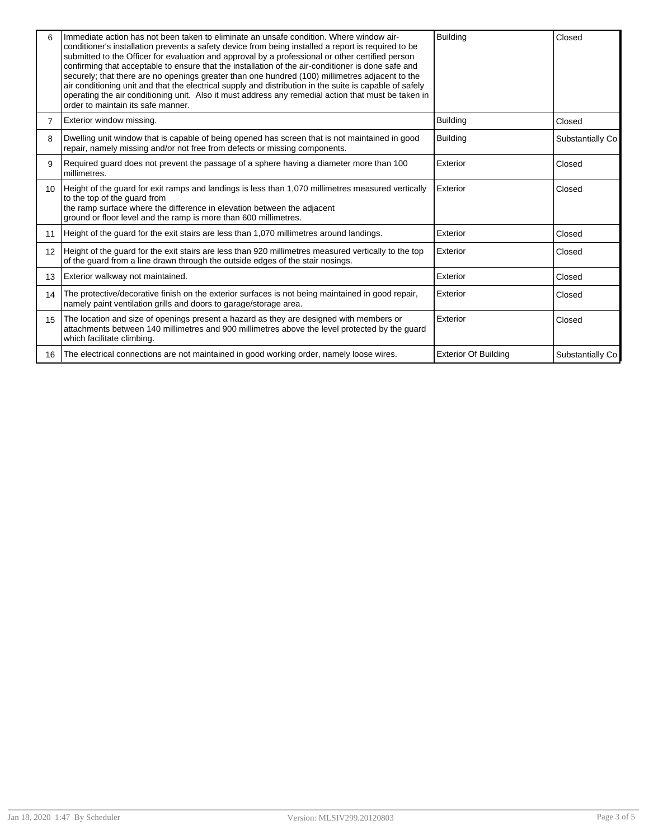|                 | Immediate action has not been taken to eliminate an unsafe condition. Where window air-<br>conditioner's installation prevents a safety device from being installed a report is required to be<br>submitted to the Officer for evaluation and approval by a professional or other certified person<br>confirming that acceptable to ensure that the installation of the air-conditioner is done safe and<br>securely; that there are no openings greater than one hundred (100) millimetres adjacent to the<br>air conditioning unit and that the electrical supply and distribution in the suite is capable of safely<br>operating the air conditioning unit. Also it must address any remedial action that must be taken in<br>order to maintain its safe manner. | <b>Building</b>             | Closed           |
|-----------------|---------------------------------------------------------------------------------------------------------------------------------------------------------------------------------------------------------------------------------------------------------------------------------------------------------------------------------------------------------------------------------------------------------------------------------------------------------------------------------------------------------------------------------------------------------------------------------------------------------------------------------------------------------------------------------------------------------------------------------------------------------------------|-----------------------------|------------------|
|                 | Exterior window missing.                                                                                                                                                                                                                                                                                                                                                                                                                                                                                                                                                                                                                                                                                                                                            | <b>Building</b>             | Closed           |
| 8               | Dwelling unit window that is capable of being opened has screen that is not maintained in good<br>repair, namely missing and/or not free from defects or missing components.                                                                                                                                                                                                                                                                                                                                                                                                                                                                                                                                                                                        | <b>Building</b>             | Substantially Co |
| g               | Required guard does not prevent the passage of a sphere having a diameter more than 100<br>millimetres.                                                                                                                                                                                                                                                                                                                                                                                                                                                                                                                                                                                                                                                             | Exterior                    | Closed           |
| 10              | Height of the guard for exit ramps and landings is less than 1,070 millimetres measured vertically<br>to the top of the guard from<br>the ramp surface where the difference in elevation between the adjacent<br>ground or floor level and the ramp is more than 600 millimetres.                                                                                                                                                                                                                                                                                                                                                                                                                                                                                   | Exterior                    | Closed           |
| 11              | Height of the guard for the exit stairs are less than 1,070 millimetres around landings.                                                                                                                                                                                                                                                                                                                                                                                                                                                                                                                                                                                                                                                                            | Exterior                    | Closed           |
| 12 <sup>2</sup> | Height of the guard for the exit stairs are less than 920 millimetres measured vertically to the top<br>of the guard from a line drawn through the outside edges of the stair nosings.                                                                                                                                                                                                                                                                                                                                                                                                                                                                                                                                                                              | Exterior                    | Closed           |
| 13              | Exterior walkway not maintained.                                                                                                                                                                                                                                                                                                                                                                                                                                                                                                                                                                                                                                                                                                                                    | Exterior                    | Closed           |
| 14              | The protective/decorative finish on the exterior surfaces is not being maintained in good repair,<br>namely paint ventilation grills and doors to garage/storage area.                                                                                                                                                                                                                                                                                                                                                                                                                                                                                                                                                                                              | Exterior                    | Closed           |
| 15              | The location and size of openings present a hazard as they are designed with members or<br>attachments between 140 millimetres and 900 millimetres above the level protected by the guard<br>which facilitate climbing.                                                                                                                                                                                                                                                                                                                                                                                                                                                                                                                                             | Exterior                    | Closed           |
| 16              | The electrical connections are not maintained in good working order, namely loose wires.                                                                                                                                                                                                                                                                                                                                                                                                                                                                                                                                                                                                                                                                            | <b>Exterior Of Building</b> | Substantially Co |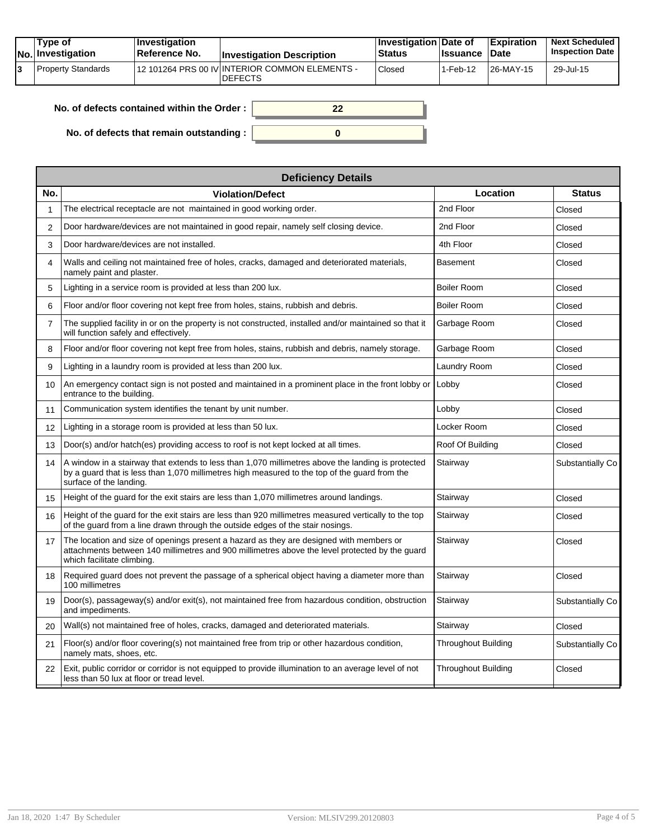|  | Tvpe of<br>$ No $ Investigation | <b>Investigation</b><br>Reference No. | <b>Investigation Description</b>                                 | <b>∣Investigation Date of</b><br><b>Status</b> | <b>Issuance Date</b> | <b>Expiration</b> | <b>Next Scheduled</b><br><b>Inspection Date</b> |
|--|---------------------------------|---------------------------------------|------------------------------------------------------------------|------------------------------------------------|----------------------|-------------------|-------------------------------------------------|
|  | Property Standards              |                                       | 12 101264 PRS 00 IV INTERIOR COMMON ELEMENTS -<br><b>DEFECTS</b> | Closed                                         | 1-Feb-12             | 26-MAY-15         | 29-Jul-15                                       |

| No. of defects contained within the Order:       |  |
|--------------------------------------------------|--|
| No. of defects that remain outstanding : $\vert$ |  |

|                | <b>Deficiency Details</b>                                                                                                                                                                                                     |                            |                  |  |  |  |  |
|----------------|-------------------------------------------------------------------------------------------------------------------------------------------------------------------------------------------------------------------------------|----------------------------|------------------|--|--|--|--|
| No.            | <b>Violation/Defect</b>                                                                                                                                                                                                       | Location                   | <b>Status</b>    |  |  |  |  |
| 1              | The electrical receptacle are not maintained in good working order.                                                                                                                                                           | 2nd Floor                  | Closed           |  |  |  |  |
| $\overline{2}$ | Door hardware/devices are not maintained in good repair, namely self closing device.                                                                                                                                          | 2nd Floor                  | Closed           |  |  |  |  |
| 3              | Door hardware/devices are not installed.                                                                                                                                                                                      | 4th Floor                  | Closed           |  |  |  |  |
| 4              | Walls and ceiling not maintained free of holes, cracks, damaged and deteriorated materials,<br>namely paint and plaster.                                                                                                      | <b>Basement</b>            | Closed           |  |  |  |  |
| 5              | Lighting in a service room is provided at less than 200 lux.                                                                                                                                                                  | <b>Boiler Room</b>         | Closed           |  |  |  |  |
| 6              | Floor and/or floor covering not kept free from holes, stains, rubbish and debris.                                                                                                                                             | Boiler Room                | Closed           |  |  |  |  |
| 7              | The supplied facility in or on the property is not constructed, installed and/or maintained so that it<br>will function safely and effectively.                                                                               | Garbage Room               | Closed           |  |  |  |  |
| 8              | Floor and/or floor covering not kept free from holes, stains, rubbish and debris, namely storage.                                                                                                                             | Garbage Room               | Closed           |  |  |  |  |
| 9              | Lighting in a laundry room is provided at less than 200 lux.                                                                                                                                                                  | Laundry Room               | Closed           |  |  |  |  |
| 10             | An emergency contact sign is not posted and maintained in a prominent place in the front lobby or Lobby<br>entrance to the building.                                                                                          |                            | Closed           |  |  |  |  |
| 11             | Communication system identifies the tenant by unit number.                                                                                                                                                                    | Lobby                      | Closed           |  |  |  |  |
| 12             | Lighting in a storage room is provided at less than 50 lux.                                                                                                                                                                   | Locker Room                | Closed           |  |  |  |  |
| 13             | Door(s) and/or hatch(es) providing access to roof is not kept locked at all times.                                                                                                                                            | Roof Of Building           | Closed           |  |  |  |  |
| 14             | A window in a stairway that extends to less than 1,070 millimetres above the landing is protected<br>by a quard that is less than 1,070 millimetres high measured to the top of the quard from the<br>surface of the landing. | Stairway                   | Substantially Co |  |  |  |  |
| 15             | Height of the guard for the exit stairs are less than 1,070 millimetres around landings.                                                                                                                                      | Stairway                   | Closed           |  |  |  |  |
| 16             | Height of the guard for the exit stairs are less than 920 millimetres measured vertically to the top<br>of the guard from a line drawn through the outside edges of the stair nosings.                                        | Stairway                   | Closed           |  |  |  |  |
| 17             | The location and size of openings present a hazard as they are designed with members or<br>attachments between 140 millimetres and 900 millimetres above the level protected by the quard<br>which facilitate climbing.       | Stairway                   | Closed           |  |  |  |  |
| 18             | Required guard does not prevent the passage of a spherical object having a diameter more than<br>100 millimetres                                                                                                              | Stairway                   | Closed           |  |  |  |  |
| 19             | $Door(s)$ , passageway(s) and/or exit(s), not maintained free from hazardous condition, obstruction<br>and impediments.                                                                                                       | Stairway                   | Substantially Co |  |  |  |  |
| 20             | Wall(s) not maintained free of holes, cracks, damaged and deteriorated materials.                                                                                                                                             | Stairway                   | Closed           |  |  |  |  |
| 21             | Floor(s) and/or floor covering(s) not maintained free from trip or other hazardous condition,<br>namely mats, shoes, etc.                                                                                                     | Throughout Building        | Substantially Co |  |  |  |  |
| 22             | Exit, public corridor or corridor is not equipped to provide illumination to an average level of not<br>less than 50 lux at floor or tread level.                                                                             | <b>Throughout Building</b> | Closed           |  |  |  |  |
|                |                                                                                                                                                                                                                               |                            |                  |  |  |  |  |